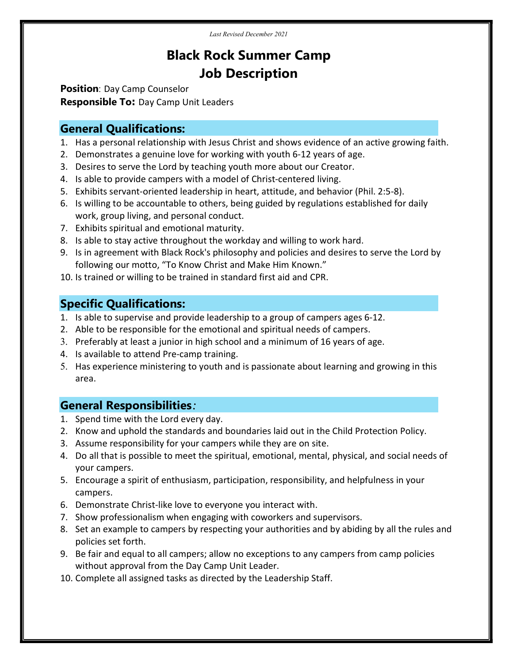Last Revised December 2021

# Black Rock Summer Camp Job Description

Position: Day Camp Counselor Responsible To: Day Camp Unit Leaders

### General Qualifications:

- 1. Has a personal relationship with Jesus Christ and shows evidence of an active growing faith.
- 2. Demonstrates a genuine love for working with youth 6-12 years of age.
- 3. Desires to serve the Lord by teaching youth more about our Creator.
- 4. Is able to provide campers with a model of Christ-centered living.
- 5. Exhibits servant-oriented leadership in heart, attitude, and behavior (Phil. 2:5-8).
- 6. Is willing to be accountable to others, being guided by regulations established for daily work, group living, and personal conduct.
- 7. Exhibits spiritual and emotional maturity.
- 8. Is able to stay active throughout the workday and willing to work hard.
- 9. Is in agreement with Black Rock's philosophy and policies and desires to serve the Lord by following our motto, "To Know Christ and Make Him Known."
- 10. Is trained or willing to be trained in standard first aid and CPR.

# Specific Qualifications:

- 1. Is able to supervise and provide leadership to a group of campers ages 6-12.
- 2. Able to be responsible for the emotional and spiritual needs of campers.
- 3. Preferably at least a junior in high school and a minimum of 16 years of age.
- 4. Is available to attend Pre-camp training.
- 5. Has experience ministering to youth and is passionate about learning and growing in this area.

## General Responsibilities:

- 1. Spend time with the Lord every day.
- 2. Know and uphold the standards and boundaries laid out in the Child Protection Policy.
- 3. Assume responsibility for your campers while they are on site.
- 4. Do all that is possible to meet the spiritual, emotional, mental, physical, and social needs of your campers.
- 5. Encourage a spirit of enthusiasm, participation, responsibility, and helpfulness in your campers.
- 6. Demonstrate Christ-like love to everyone you interact with.
- 7. Show professionalism when engaging with coworkers and supervisors.
- 8. Set an example to campers by respecting your authorities and by abiding by all the rules and policies set forth.
- 9. Be fair and equal to all campers; allow no exceptions to any campers from camp policies without approval from the Day Camp Unit Leader.
- 10. Complete all assigned tasks as directed by the Leadership Staff.